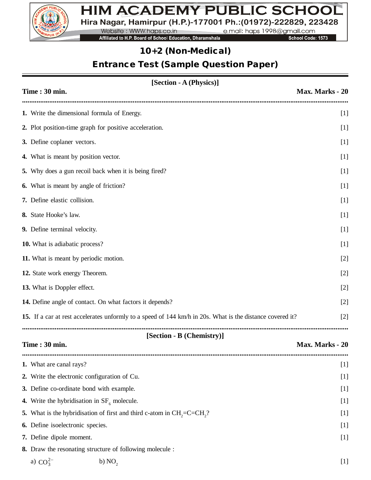

# HIM ACADEMY PUBLIC SCHOOL Hira Nagar, Hamirpur (H.P.)-177001 Ph.: (01972)-222829, 223428

Website: WWW.haps.co.in e.mail: haps 1998@gmail.com

Affiliated to H.P. Board of School Education, Dharamshala

School Code: 1573

# *10+2 (Non-Medical)*

# *Entrance Test (Sample Question Paper)*

| [Section - A (Physics)]                                                                                   |                 |  |  |  |  |
|-----------------------------------------------------------------------------------------------------------|-----------------|--|--|--|--|
| Time: 30 min.                                                                                             | Max. Marks - 20 |  |  |  |  |
| 1. Write the dimensional formula of Energy.                                                               | $[1]$           |  |  |  |  |
| 2. Plot position-time graph for positive acceleration.                                                    | $[1]$           |  |  |  |  |
| 3. Define coplaner vectors.                                                                               | $[1]$           |  |  |  |  |
| 4. What is meant by position vector.                                                                      |                 |  |  |  |  |
| 5. Why does a gun recoil back when it is being fired?                                                     | $[1]$           |  |  |  |  |
| 6. What is meant by angle of friction?                                                                    | $[1]$           |  |  |  |  |
| 7. Define elastic collision.                                                                              | $[1]$           |  |  |  |  |
| 8. State Hooke's law.                                                                                     | $[1]$           |  |  |  |  |
| 9. Define terminal velocity.                                                                              | $[1]$           |  |  |  |  |
| 10. What is adiabatic process?                                                                            | $[1]$           |  |  |  |  |
| 11. What is meant by periodic motion.                                                                     | $[2]$           |  |  |  |  |
| 12. State work energy Theorem.                                                                            | $[2]$           |  |  |  |  |
| 13. What is Doppler effect.                                                                               |                 |  |  |  |  |
| 14. Define angle of contact. On what factors it depends?                                                  |                 |  |  |  |  |
| 15. If a car at rest accelerates unformly to a speed of 144 km/h in 20s. What is the distance covered it? | $[2]$<br>$[2]$  |  |  |  |  |
|                                                                                                           |                 |  |  |  |  |
| [Section - B (Chemistry)]<br>Time: 30 min.                                                                | Max. Marks - 20 |  |  |  |  |
| 1. What are canal rays?                                                                                   | $[1]$           |  |  |  |  |
| 2. Write the electronic configuration of Cu.                                                              | $[1]$           |  |  |  |  |
| 3. Define co-ordinate bond with example.                                                                  | $[1]$           |  |  |  |  |
| 4. Write the hybridisation in $SF6$ molecule.                                                             | $[1]$           |  |  |  |  |
| What is the hybridisation of first and third c-atom in $CH2=C=CH2$ ?<br>5.                                | $[1]$           |  |  |  |  |
| 6. Define isoelectronic species.                                                                          | $[1]$           |  |  |  |  |
| 7. Define dipole moment.                                                                                  | $[1]$           |  |  |  |  |
| 8. Draw the resonating structure of following molecule :                                                  |                 |  |  |  |  |
| a) $CO_3^{2-}$<br>b) NO <sub>2</sub>                                                                      | $[1]$           |  |  |  |  |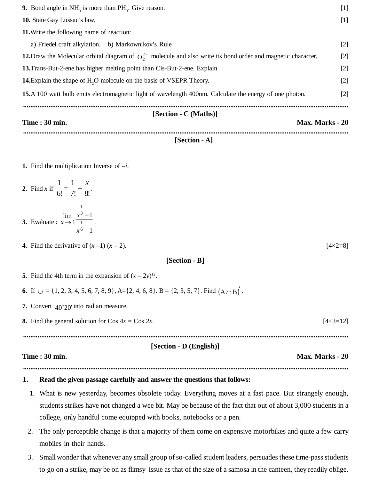| [Section - C (Maths)]<br><b>Time : 30 min.</b><br>Max. Marks - 20                                                |                   |  |  |  |
|------------------------------------------------------------------------------------------------------------------|-------------------|--|--|--|
| <b>15.</b> A 100 watt bulb emits electromagnetic light of wavelength 400nm. Calculate the energy of one photon.  | $\lceil 2 \rceil$ |  |  |  |
| <b>14.</b> Explain the shape of H <sub>2</sub> O molecule on the basis of VSEPR Theory.                          | $[2]$             |  |  |  |
| 13. Trans-But-2-ene has higher melting point than Cis-But-2-ene. Explain.                                        | $[2]$             |  |  |  |
| 12. Draw the Molecular orbital diagram of $Q_2^2$ molecule and also write its bond order and magnetic character. | $[2]$             |  |  |  |
| a) Friedel craft alkylation. b) Markownikov's Rule                                                               | $[2]$             |  |  |  |
| <b>11.</b> Write the following name of reaction:                                                                 |                   |  |  |  |
| <b>10.</b> State Gay Lussac's law.                                                                               |                   |  |  |  |
| 9. Bond angle in $NH3$ is more than $PH3$ . Give reason.                                                         | $[1]$             |  |  |  |
|                                                                                                                  |                   |  |  |  |

### **[Section - A]**

- **1.** Find the multiplication Inverse of –*i*.
- **2.** Find *x* if  $\frac{ }{6!} + \frac{ }{7!} = \frac{ }{8!}$ 1 6!  $1 \quad 1 \quad x$  $+\frac{1}{7!}=\frac{x}{9!}$ . 1 lim 3 1  $\overline{a}$ *x*
- **3.** Evaluate : 1 1 6 1  $\overline{\phantom{a}}$  $\rightarrow$ *x*  $x \rightarrow 1$   $\boxed{1}$ .
- **4.** Find the derivative of  $(x 1)(x 2)$ . [4×2=8]

#### **[Section - B]**

- **5.** Find the 4th term in the expansion of  $(x 2y)^{12}$ .
- **6.** If  $\cup = \{1, 2, 3, 4, 5, 6, 7, 8, 9\}$ , A= $\{2, 4, 6, 8\}$ . B =  $\{2, 3, 5, 7\}$ . Find  $(A \cap B)'$ .
- **7.** Convert  $40^{\circ}20'$  into radian measure.
- **8.** Find the general solution for Cos  $4x = \cos 2x$ . [4×3=12]

## **................................................................................................................................................................................... [Section - D (English)]**

#### **Time : 30 min. Max. Marks - 20**

## **...................................................................................................................................................................................**

### **1. Read the given passage carefully and answer the questions that follows:**

- 1. What is new yesterday, becomes obsolete today. Everything moves at a fast pace. But strangely enough, students strikes have not changed a wee bit. May be because of the fact that out of about 3,000 students in a college, only handful come equipped with books, notebooks or a pen.
- 2. The only perceptible change is that a majority of them come on expensive motorbikes and quite a few carry mobiles in their hands.
- 3. Small wonder that whenever any small group of so-called student leaders, persuades these time-pass students to go on a strike, may be on as flimsy issue as that of the size of a samosa in the canteen, they readily oblige.